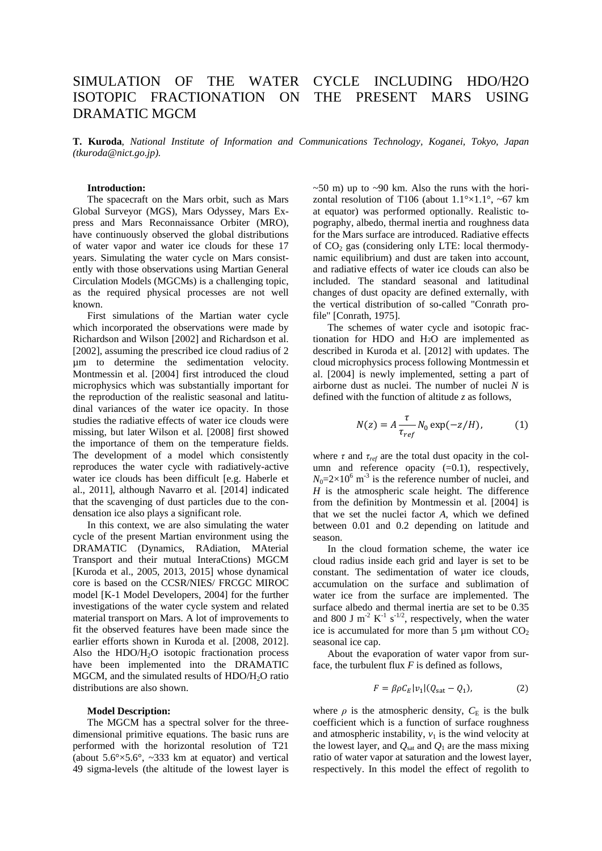# SIMULATION OF THE WATER CYCLE INCLUDING HDO/H2O ISOTOPIC FRACTIONATION ON THE PRESENT MARS USING DRAMATIC MGCM

**T. Kuroda**, *National Institute of Information and Communications Technology, Koganei, Tokyo, Japan (tkuroda@nict.go.jp).*

### **Introduction:**

The spacecraft on the Mars orbit, such as Mars Global Surveyor (MGS), Mars Odyssey, Mars Express and Mars Reconnaissance Orbiter (MRO), have continuously observed the global distributions of water vapor and water ice clouds for these 17 years. Simulating the water cycle on Mars consistently with those observations using Martian General Circulation Models (MGCMs) is a challenging topic, as the required physical processes are not well known.

First simulations of the Martian water cycle which incorporated the observations were made by Richardson and Wilson [2002] and Richardson et al. [2002], assuming the prescribed ice cloud radius of 2 µm to determine the sedimentation velocity. Montmessin et al. [2004] first introduced the cloud microphysics which was substantially important for the reproduction of the realistic seasonal and latitudinal variances of the water ice opacity. In those studies the radiative effects of water ice clouds were missing, but later Wilson et al. [2008] first showed the importance of them on the temperature fields. The development of a model which consistently reproduces the water cycle with radiatively-active water ice clouds has been difficult [e.g. Haberle et al., 2011], although Navarro et al. [2014] indicated that the scavenging of dust particles due to the condensation ice also plays a significant role.

In this context, we are also simulating the water cycle of the present Martian environment using the DRAMATIC (Dynamics, RAdiation, MAterial Transport and their mutual InteraCtions) MGCM [Kuroda et al., 2005, 2013, 2015] whose dynamical core is based on the CCSR/NIES/ FRCGC MIROC model [K-1 Model Developers, 2004] for the further investigations of the water cycle system and related material transport on Mars. A lot of improvements to fit the observed features have been made since the earlier efforts shown in Kuroda et al. [2008, 2012]. Also the HDO/H2O isotopic fractionation process have been implemented into the DRAMATIC MGCM, and the simulated results of  $HDO/H<sub>2</sub>O$  ratio distributions are also shown.

#### **Model Description:**

The MGCM has a spectral solver for the threedimensional primitive equations. The basic runs are performed with the horizontal resolution of T21 (about  $5.6^{\circ} \times 5.6^{\circ}$ ,  $\sim 333$  km at equator) and vertical 49 sigma-levels (the altitude of the lowest layer is  $\sim$  50 m) up to  $\sim$  90 km. Also the runs with the horizontal resolution of T106 (about  $1.1^{\circ} \times 1.1^{\circ}$ , ~67 km at equator) was performed optionally. Realistic topography, albedo, thermal inertia and roughness data for the Mars surface are introduced. Radiative effects of  $CO<sub>2</sub>$  gas (considering only LTE: local thermodynamic equilibrium) and dust are taken into account, and radiative effects of water ice clouds can also be included. The standard seasonal and latitudinal changes of dust opacity are defined externally, with the vertical distribution of so-called "Conrath profile" [Conrath, 1975].

The schemes of water cycle and isotopic fractionation for HDO and H2O are implemented as described in Kuroda et al. [2012] with updates. The cloud microphysics process following Montmessin et al. [2004] is newly implemented, setting a part of airborne dust as nuclei. The number of nuclei *N* is defined with the function of altitude *z* as follows,

$$
N(z) = A \frac{\tau}{\tau_{ref}} N_0 \exp(-z/H), \tag{1}
$$

where  $\tau$  and  $\tau_{ref}$  are the total dust opacity in the column and reference opacity  $(=0.1)$ , respectively,  $N_0 = 2 \times 10^6$  m<sup>-3</sup> is the reference number of nuclei, and *H* is the atmospheric scale height. The difference from the definition by Montmessin et al. [2004] is that we set the nuclei factor *A*, which we defined between 0.01 and 0.2 depending on latitude and season.

In the cloud formation scheme, the water ice cloud radius inside each grid and layer is set to be constant. The sedimentation of water ice clouds, accumulation on the surface and sublimation of water ice from the surface are implemented. The surface albedo and thermal inertia are set to be 0.35 and 800 J m<sup>-2</sup> K<sup>-1</sup> s<sup>-1/2</sup>, respectively, when the water ice is accumulated for more than  $\overline{5}$  um without  $CO<sub>2</sub>$ seasonal ice cap.

About the evaporation of water vapor from surface, the turbulent flux *F* is defined as follows,

$$
F = \beta \rho C_E |v_1| (Q_{\text{sat}} - Q_1), \tag{2}
$$

where  $\rho$  is the atmospheric density,  $C_E$  is the bulk coefficient which is a function of surface roughness and atmospheric instability,  $v_1$  is the wind velocity at the lowest layer, and  $Q<sub>sat</sub>$  and  $Q<sub>1</sub>$  are the mass mixing ratio of water vapor at saturation and the lowest layer, respectively. In this model the effect of regolith to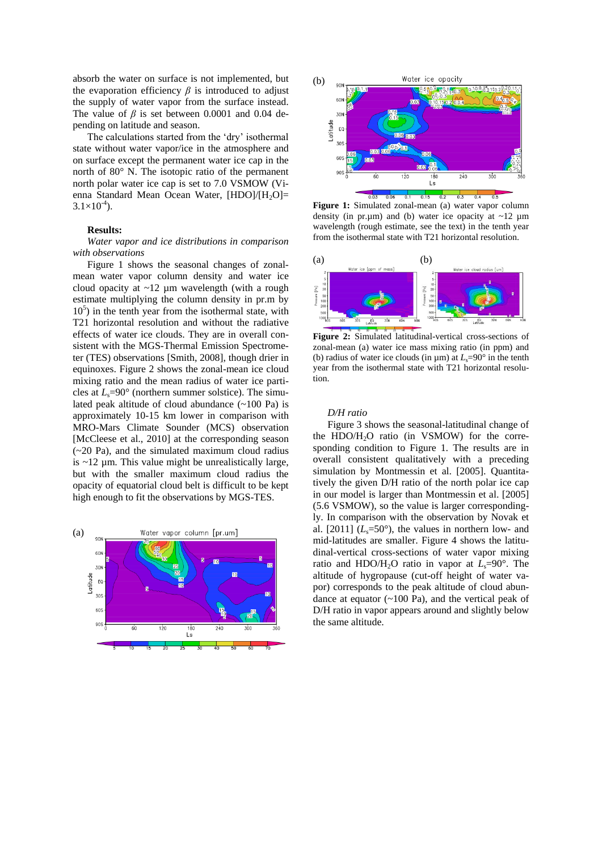absorb the water on surface is not implemented, but the evaporation efficiency  $\beta$  is introduced to adjust the supply of water vapor from the surface instead. The value of  $\beta$  is set between 0.0001 and 0.04 depending on latitude and season.

The calculations started from the 'dry' isothermal state without water vapor/ice in the atmosphere and on surface except the permanent water ice cap in the north of 80° N. The isotopic ratio of the permanent north polar water ice cap is set to 7.0 VSMOW (Vienna Standard Mean Ocean Water, [HDO]/[H<sub>2</sub>O]=  $3.1 \times 10^{-4}$ ).

#### **Results:**

*Water vapor and ice distributions in comparison with observations*

Figure 1 shows the seasonal changes of zonalmean water vapor column density and water ice cloud opacity at  $\sim$ 12 µm wavelength (with a rough estimate multiplying the column density in pr.m by 10<sup>5</sup> ) in the tenth year from the isothermal state, with T21 horizontal resolution and without the radiative effects of water ice clouds. They are in overall consistent with the MGS-Thermal Emission Spectrometer (TES) observations [Smith, 2008], though drier in equinoxes. Figure 2 shows the zonal-mean ice cloud mixing ratio and the mean radius of water ice particles at  $L_s$ =90° (northern summer solstice). The simulated peak altitude of cloud abundance  $(\sim 100 \text{ Pa})$  is approximately 10-15 km lower in comparison with MRO-Mars Climate Sounder (MCS) observation [McCleese et al., 2010] at the corresponding season (~20 Pa), and the simulated maximum cloud radius is  $\sim$ 12 um. This value might be unrealistically large, but with the smaller maximum cloud radius the opacity of equatorial cloud belt is difficult to be kept high enough to fit the observations by MGS-TES.





Figure 1: Simulated zonal-mean (a) water vapor column density (in pr.µm) and (b) water ice opacity at  $\sim$ 12 µm wavelength (rough estimate, see the text) in the tenth year from the isothermal state with T21 horizontal resolution.



**Figure 2:** Simulated latitudinal-vertical cross-sections of zonal-mean (a) water ice mass mixing ratio (in ppm) and (b) radius of water ice clouds (in  $\mu$ m) at  $L<sub>s</sub>=90°$  in the tenth year from the isothermal state with T21 horizontal resolution.

## *D/H ratio*

Figure 3 shows the seasonal-latitudinal change of the HDO/ $H<sub>2</sub>O$  ratio (in VSMOW) for the corresponding condition to Figure 1. The results are in overall consistent qualitatively with a preceding simulation by Montmessin et al. [2005]. Quantitatively the given D/H ratio of the north polar ice cap in our model is larger than Montmessin et al. [2005] (5.6 VSMOW), so the value is larger correspondingly. In comparison with the observation by Novak et al.  $[2011]$  ( $L_s = 50^\circ$ ), the values in northern low- and mid-latitudes are smaller. Figure 4 shows the latitudinal-vertical cross-sections of water vapor mixing ratio and HDO/H<sub>2</sub>O ratio in vapor at  $L_s=90^\circ$ . The altitude of hygropause (cut-off height of water vapor) corresponds to the peak altitude of cloud abundance at equator  $(\sim 100 \text{ Pa})$ , and the vertical peak of D/H ratio in vapor appears around and slightly below the same altitude.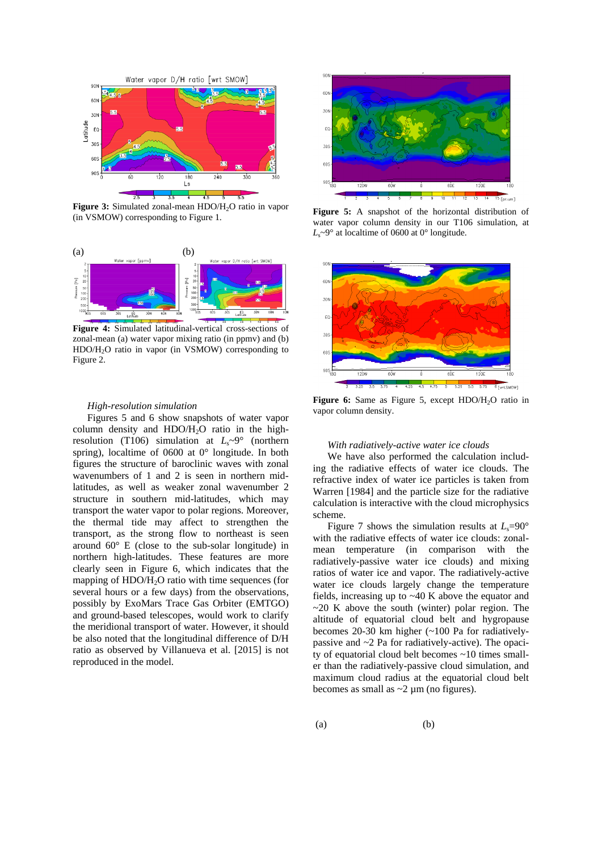

**Figure 3:** Simulated zonal-mean HDO/H<sub>2</sub>O ratio in vapor (in VSMOW) corresponding to Figure 1.



**Figure 4:** Simulated latitudinal-vertical cross-sections of zonal-mean (a) water vapor mixing ratio (in ppmv) and (b) HDO/H<sub>2</sub>O ratio in vapor (in VSMOW) corresponding to Figure 2.

#### *High-resolution simulation*

Figures 5 and 6 show snapshots of water vapor column density and  $HDO/H<sub>2</sub>O$  ratio in the highresolution (T106) simulation at  $L_s \sim 9^\circ$  (northern spring), localtime of 0600 at 0° longitude. In both figures the structure of baroclinic waves with zonal wavenumbers of 1 and 2 is seen in northern midlatitudes, as well as weaker zonal wavenumber 2 structure in southern mid-latitudes, which may transport the water vapor to polar regions. Moreover, the thermal tide may affect to strengthen the transport, as the strong flow to northeast is seen around 60° E (close to the sub-solar longitude) in northern high-latitudes. These features are more clearly seen in Figure 6, which indicates that the mapping of HDO/H2O ratio with time sequences (for several hours or a few days) from the observations, possibly by ExoMars Trace Gas Orbiter (EMTGO) and ground-based telescopes, would work to clarify the meridional transport of water. However, it should be also noted that the longitudinal difference of D/H ratio as observed by Villanueva et al. [2015] is not reproduced in the model.



**Figure 5:** A snapshot of the horizontal distribution of water vapor column density in our T106 simulation, at  $L_s \sim 9^\circ$  at localtime of 0600 at 0° longitude.



Figure 6: Same as Figure 5, except HDO/H<sub>2</sub>O ratio in vapor column density.

## *With radiatively-active water ice clouds*

We have also performed the calculation including the radiative effects of water ice clouds. The refractive index of water ice particles is taken from Warren [1984] and the particle size for the radiative calculation is interactive with the cloud microphysics scheme.

Figure 7 shows the simulation results at  $L_s = 90^\circ$ with the radiative effects of water ice clouds: zonalmean temperature (in comparison with the radiatively-passive water ice clouds) and mixing ratios of water ice and vapor. The radiatively-active water ice clouds largely change the temperature fields, increasing up to ~40 K above the equator and  $\sim$ 20 K above the south (winter) polar region. The altitude of equatorial cloud belt and hygropause becomes 20-30 km higher (~100 Pa for radiativelypassive and ~2 Pa for radiatively-active). The opacity of equatorial cloud belt becomes ~10 times smaller than the radiatively-passive cloud simulation, and maximum cloud radius at the equatorial cloud belt becomes as small as  $\sim$ 2  $\mu$ m (no figures).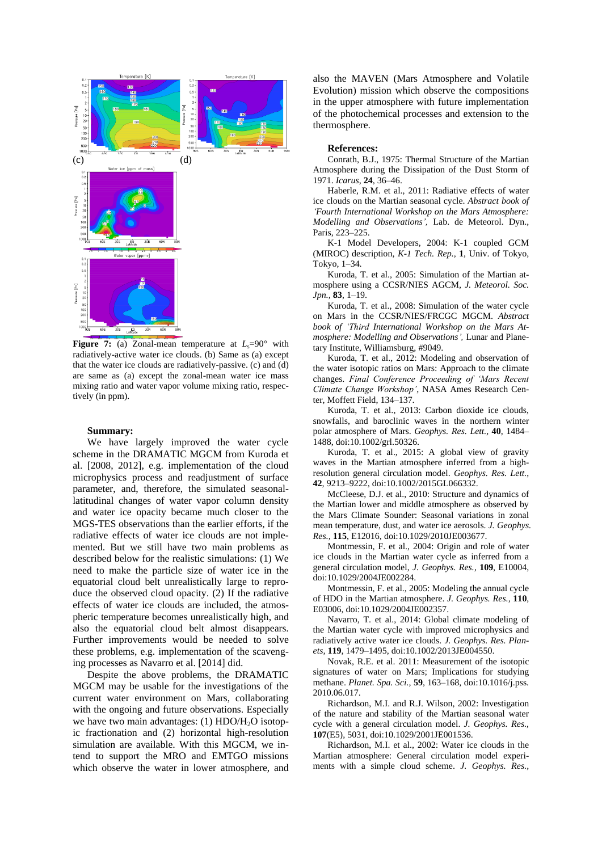

**Figure 7:** (a) Zonal-mean temperature at  $L_s = 90^\circ$  with radiatively-active water ice clouds. (b) Same as (a) except that the water ice clouds are radiatively-passive. (c) and (d) are same as (a) except the zonal-mean water ice mass mixing ratio and water vapor volume mixing ratio, respectively (in ppm).

#### **Summary:**

We have largely improved the water cycle scheme in the DRAMATIC MGCM from Kuroda et al. [2008, 2012], e.g. implementation of the cloud microphysics process and readjustment of surface parameter, and, therefore, the simulated seasonallatitudinal changes of water vapor column density and water ice opacity became much closer to the MGS-TES observations than the earlier efforts, if the radiative effects of water ice clouds are not implemented. But we still have two main problems as described below for the realistic simulations: (1) We need to make the particle size of water ice in the equatorial cloud belt unrealistically large to reproduce the observed cloud opacity. (2) If the radiative effects of water ice clouds are included, the atmospheric temperature becomes unrealistically high, and also the equatorial cloud belt almost disappears. Further improvements would be needed to solve these problems, e.g. implementation of the scavenging processes as Navarro et al. [2014] did.

Despite the above problems, the DRAMATIC MGCM may be usable for the investigations of the current water environment on Mars, collaborating with the ongoing and future observations. Especially we have two main advantages: (1) HDO/H<sub>2</sub>O isotopic fractionation and (2) horizontal high-resolution simulation are available. With this MGCM, we intend to support the MRO and EMTGO missions which observe the water in lower atmosphere, and

also the MAVEN (Mars Atmosphere and Volatile Evolution) mission which observe the compositions in the upper atmosphere with future implementation of the photochemical processes and extension to the thermosphere.

## **References:**

Conrath, B.J., 1975: Thermal Structure of the Martian Atmosphere during the Dissipation of the Dust Storm of 1971. *Icarus*, **24**, 36–46.

Haberle, R.M. et al., 2011: Radiative effects of water ice clouds on the Martian seasonal cycle. *Abstract book of 'Fourth International Workshop on the Mars Atmosphere: Modelling and Observations',* Lab. de Meteorol. Dyn., Paris, 223–225.

K-1 Model Developers, 2004: K-1 coupled GCM (MIROC) description, *K-1 Tech. Rep.,* **1**, Univ. of Tokyo, Tokyo, 1–34.

Kuroda, T. et al., 2005: Simulation of the Martian atmosphere using a CCSR/NIES AGCM, *J. Meteorol. Soc. Jpn.,* **83**, 1–19.

Kuroda, T. et al., 2008: Simulation of the water cycle on Mars in the CCSR/NIES/FRCGC MGCM. *Abstract book of 'Third International Workshop on the Mars Atmosphere: Modelling and Observations',* Lunar and Planetary Institute, Williamsburg, #9049.

Kuroda, T. et al., 2012: Modeling and observation of the water isotopic ratios on Mars: Approach to the climate changes. *Final Conference Proceeding of 'Mars Recent Climate Change Workshop'*, NASA Ames Research Center, Moffett Field, 134–137.

Kuroda, T. et al., 2013: Carbon dioxide ice clouds, snowfalls, and baroclinic waves in the northern winter polar atmosphere of Mars. *Geophys. Res. Lett.,* **40**, 1484– 1488, doi:10.1002/grl.50326.

Kuroda, T. et al., 2015: A global view of gravity waves in the Martian atmosphere inferred from a highresolution general circulation model. *Geophys. Res. Lett.*, **42**, 9213–9222, doi:10.1002/2015GL066332.

McCleese, D.J. et al., 2010: Structure and dynamics of the Martian lower and middle atmosphere as observed by the Mars Climate Sounder: Seasonal variations in zonal mean temperature, dust, and water ice aerosols. *J. Geophys. Res.,* **115**, E12016, doi:10.1029/2010JE003677.

Montmessin, F. et al., 2004: Origin and role of water ice clouds in the Martian water cycle as inferred from a general circulation model, *J. Geophys. Res.,* **109**, E10004, doi:10.1029/2004JE002284.

Montmessin, F. et al., 2005: Modeling the annual cycle of HDO in the Martian atmosphere. *J. Geophys. Res.,* **110**, E03006, doi:10.1029/2004JE002357.

Navarro, T. et al., 2014: Global climate modeling of the Martian water cycle with improved microphysics and radiatively active water ice clouds. *J. Geophys. Res. Planets,* **119**, 1479–1495, doi:10.1002/2013JE004550.

Novak, R.E. et al. 2011: Measurement of the isotopic signatures of water on Mars; Implications for studying methane. *Planet. Spa. Sci.,* **59**, 163–168, doi:10.1016/j.pss. 2010.06.017.

Richardson, M.I. and R.J. Wilson, 2002: Investigation of the nature and stability of the Martian seasonal water cycle with a general circulation model. *J. Geophys. Res.,* **107**(E5), 5031, doi:10.1029/2001JE001536.

Richardson, M.I. et al., 2002: Water ice clouds in the Martian atmosphere: General circulation model experiments with a simple cloud scheme. *J. Geophys. Res.,*